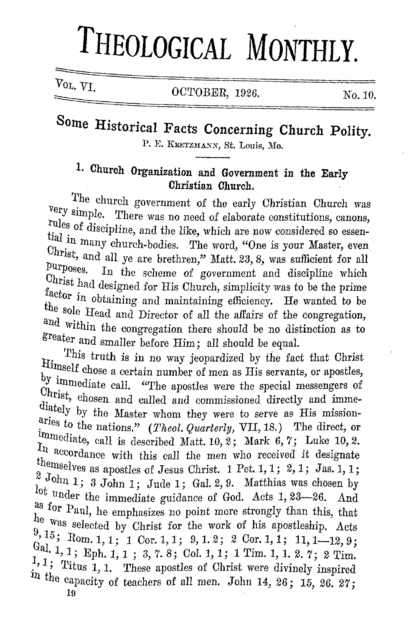# **THEOLOGICAL MONTHLY.**

Vol. VI. **OCTOBER, 1926.** No. 10.

## Some Historical Facts Concerning Church Polity.

P. E. KRETZMANN, St. Louis, Mo.

### **1. Church Organization and Government in the Early Christian Church.**

The church government of the early Christian Church was very simple. There was no need of elaborate constitutions, canons, rules of discipline, and the like, which are now considered so essential in many church-bodies. The word, "One is your Master, even Christ, and all ye are brethren," Matt. 23, 8, was sufficient for all purposes. In the scheme of government and discipline which Christ had designed for His Church, simplicity was to be the prime factor in obtaining and maintaining efficiency. He wanted to be the sole Head and Director of all the affairs of the congregation, and Within the congregation there should be no distinction as to greater and smaller before Him; a11 should be equal.

This truth is in no way jeopardized by the fact that Christ Himself chose a certain number of men as His servants, or apostles,  $\mathcal{Y}$  limmediate call. "The apostles were the special messengers of Christ, chosen and called and commissioned directly and immediately by the Master whom they were to serve as His missionaries to the nations." (*Theol. Quarterly, VII*, 18.) The direct, or immediate, call is described Matt. 10, 2; Mark 6, 7; Luke 10, 2.<br> $I_n$  accordance with this call the men who received it designate themselves as apostles of Jesus Christ. 1 Pct. 1, 1; 2, 1; Jas. 1, 1;  $\frac{2}{\nu}$  John 1; 3 John 1; Jude 1; Gal. 2, 9. Matthias was chosen by lot under the immediate guidance of God. Acts 1, 23-26. And as for Paul, he emphasizes no point more strongly than this, that he was selected by Christ for the work of his apostleship. Acts  $\frac{9}{15}$ ; Rom. 1, 1; 1 Cor. 1, 1; 9, 1. 2; 2 Cor. 1, 1; 11, 1-12, 9; Gal. 1, 1; Eph. 1, 1 ; 3, 7. 8; Col. 1, 1; 1 Tim. 1, 1. 2. 7; 2 Tim.  $\frac{1}{1}$ , 1; Titus 1, 1. These apostles of Christ were divinely inspired in the capacity of teachers of all men. John 14, 26; 15, 26. 27;

10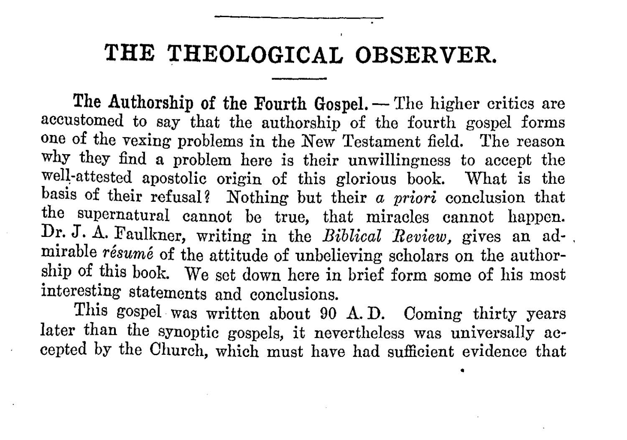#### **THE THEOLOGICAL OBSERVER.**

The Authorship of the Fourth Gospel. - The higher critics are accustomed to say that the authorship of the fourth gospel forms one of the vexing problems in the New Testament field. The reason why they find **a** problem here is their unwillingness to accept the well-attested apostolic origin of this glorious book. What is the basis of their refusal? Nothing but their *a priori* conclusion that the supernatural cannot be true, that miracles cannot happen. Dr. J. A. Faulkner, writing in the *Biblical Review,* gives an ad- . mirable *resume* of the attitude of unbelieving scholars on the authorship of this book. We set down here in brief form some of his most interesting statements and conclusions.

This gospel was written about 90 A.D. Coming thirty years later than the synoptic gospels, it nevertheless was universally accepted by the Church, which must have had sufficient evidence that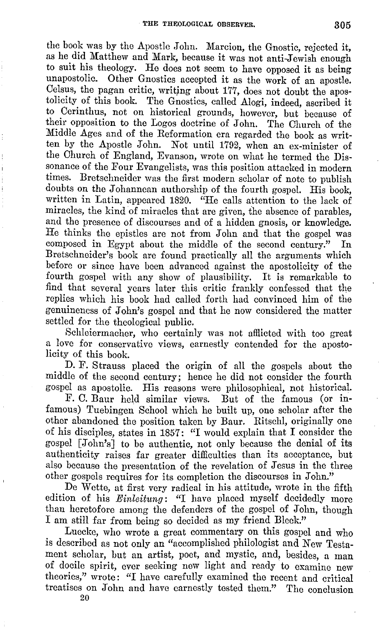the book was by the Apostle John. Marcion, the Gnostic, rejected it, as he did Matthew and Mark, because it was not anti-Jewish enough to suit his theology. He does not seem to have opposed it as being unapostolic. Other Gnostics accepted it as the work of an apostle. Celsus, the pagan critic, writing about 177, does not doubt the apostolicity of this book. The Gnostics, called Alogi, indeed, ascribed it to Oerinthus, not on historical grounds, however, but because of their opposition to the Logos doctrine of John. The Church of the Middle Ages and of the Reformation era regarded the book as written by the Apostle John. Not until 1792, when an ex-minister of the Church of England, Evanson, wrote on what he termed the Dissonance of the Four Evangelists, was this position attacked in modern times. Bretschneider was the first modern scholar of note to publish doubts on the Johannean authorship of the fourth gospel. His book, written in Latin, appeared 1820. "He calls attention to the lack of miracles, the kind of miracles that are given, the absence of parables, and the presence of discourses and of a hidden gnosis, or knowledge. He thinks the epistles are not from John and that the gospel was composed in Egypt about the middle of the second century." In Bretschneider's book are found practically all the arguments which before or since have been advanced against the apostolicity of the fourth gospel with any show of plausibility. It is remarkable to find that several years later this critic frankly confessed that the replies which his book had called forth had convinced him of the genuineness of John's gospel and that ho now considered the matter settled for the theological public.

Schleiermacher, who certainly was not afllicted with too great a love for conservative views, earnestly contended for the apostolicity of this book.

D. F. Strauss placed the origin of all the gospels about the middle of the second century; hence he did not consider the fourth gospel as apostolic. His reasons were philosophical, not historical.

F. 0. Baur held similar views. But of the famous (or infamous) Tuebingen School which he built up, one scholar after the other abandoned the position taken by Baur. Ritschl, originally one of his disciples, states in 1857: "I would explain that I consider the gospel [John's] to be authentic, not only because the denial of its authenticity raises far greater difficulties than its acceptance, but also because the presentation of the revelation of Jesus in the three other gospels requires for its completion the discourses in John."

De Wette, at first very radical in his attitude, wrote in the fifth edition of his *Einleitung:* "I have placed myself decidedly more than heretofore among the defenders of the gospel of John, though I am still far from being so decided as my friend Bleek."

Luecke, who wrote a great commentary on this gospel and who is described as not only an "accomplished philologist and New Testament scholar, but an artist, poet, and mystic, and, besides, a man of docile spirit, ever seeking new light and ready to examine new theories," wrote: "I have carefully examined the recent and critical treatises on John and have earnestly tested them." The conclusion 20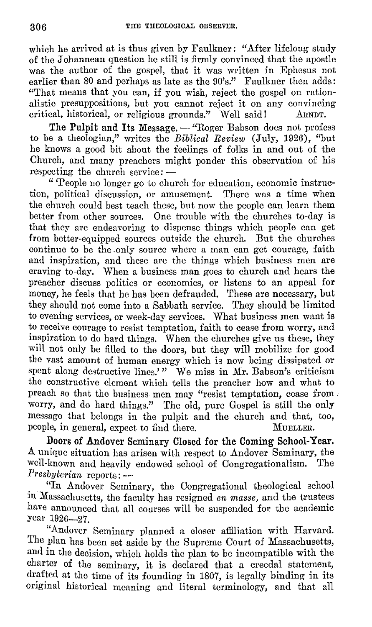which he arrived at is thus given by Faulkner: "After lifelong study of the J ohannean question he still is firmly convinced that the apostle was the author of the gospel, that it was written in Ephesus not earlier than 80 and perhaps as late as the 90's." Faulkner then adds: "That means that you can, if you wish, reject the gospel on rationalistic presuppositions, but you cannot reject it on any convincing critical, historical, or religious grounds." Well said! ARNDT.

The Pulpit and Its Message. - "Roger Babson does not profess to be a theologian," writes the *Biblical Review* (July, 1926), "but he knows a good bit about the feelings of folks in and out of the Church, and many preachers might ponder this observation of his respecting the church service: -

" 'People no longer go to church for education, economic instruction, political discussion, or amusement. There was a time when the church could best teach these, but now the people can learn them better from other sources. One trouble with the churches to-day is that they are endeavoring to dispense things which people can get from better-equipped sources outside the church. But the churches continue to be the .only source where a man can get courage, faith and inspiration, and these are the things which business men are craving to-day. When a business man goes to church and hears the preacher discuss politics or economics, or listens to an appeal for money, he feels that he has been defrauded. These are necessary, but they should not come into a Sabbath service. They should be limited to evening services, or week-day services. What business men want is to receive courage to resist temptation, faith to cease from worry, and inspiration to do hard things. When the churches give us these, they will not only be filled to the doors, but they will mobilize for good tho vast amount of human energy which is now being dissipated or spent along destructive lines.'" We miss in Mr. Babson's criticism the constructive element which tells the preacher how and what to preach so that the business men may "resist temptation, cease from , worry, and do hard things." The old, pure Gospel is still the only message that belongs in the pulpit and the church and that, too, people, in general, expect to find there. MUELLER.

Doors of Andover Seminary Closed for the Coming School-Year. A unique situation has arisen with respect to Andover Seminary, the well-known and heavily endowed school of Congregationalism. The *Presbyterian* reports: -

"In Andover Seminary, the Congregational theological school in Massachusetts, the faculty has resigned *en masse,* and the trustees have announced that all courses will be suspended for the academic year 1926-27.

"Andover Seminary planned a closer affiliation with Harvard. The plan has been set aside by the Supreme Court of Massachusetts, and in the decision, which holds the plan to be incompatible with the charter of the seminary, it is declared that a creedal statement, drafted at the time of its founding in 1807, is legally binding in its original historical meaning and literal terminology, and that all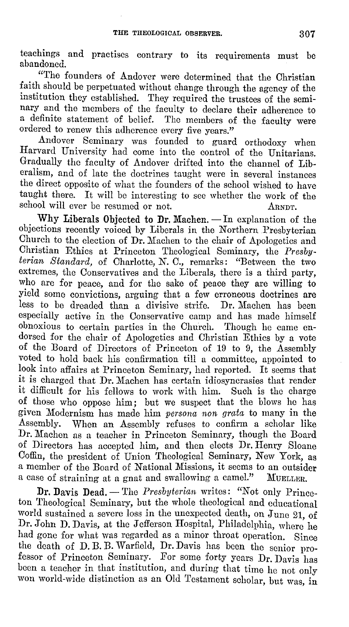teachings and practises contrary to its requirements must be abandoned.

"The founders of Andover were determined that the Christian faith should be perpetuated without change through the agency of the institution they established. They required the trustees of the seminary and the members of the faculty to declare their adherence to a definite statement of belief. The members of the faculty were ordered to renew this adherence every five years."

Andover Seminary was founded to guard orthodoxy when Harvard University had come into the control of the Unitarians. Gradually the faculty of Andover drifted into the channel of Liberalism, and of late the doctrines taught were in several instances the direct opposite of what the founders of the school wished to have taught there. It will be interesting to see whether the work of the school will ever be resumed or not. ARNDT.

Why Liberals Objected to Dr. Machen. - In explanation of the objections recently voiced by Liberals in the Northern Presbyterian Church to the election of Dr. Machen to the chair of Apologetics and Christian Ethics at Princeton Theological Seminary, the *Presbyterian Standard,* of Charlotte, *N.* 0., remarks: "Between the two extremes, the Conservatives and the Liberals, there is a third party, who arc for peace, and for the sake of peace they are willing to yield some convictions, arguing that a few erroneous doctrines are less to be dreaded than a divisive strife. Dr. Machen has been especially active in the Conservative camp and has made himself obnoxious to certain parties in the Church. Though he came endorsed for the chair of Apologetics and Christian Ethics by a vote of the Board of Directors of Princeton of 19 to 9, the Assembly voted to hold back his confirmation till a committee, appointed to look into affairs at Princeton Seminary, had reported. It seems that it is charged that Dr. Machen has certain idiosyncrasies that render it difficult for his fellows to work with him. Such is the charge of those who oppose him; but we suspect that the blows he has given Modernism has made him *persona non grata* to many in the Assembly. When an Assembly refuses to confirm a scholar like Dr. Machen as a teacher in Princeton Seminary, though the Board of Directors has accepted him, and then elects Dr. Henry Sloane Coffin, the president of Union Theological Seminary, New York, as a member of the Board of National Missions, it seems to an outsider a case of straining at a gnat and swallowing a camel."

**Dr. Davis Dead.** - The *Presbyterian* writes: "Not only Princeton Theological Seminary, but the whole theological and educational world sustained a severe loss in the unexpected death, on June 21, of Dr. John D. Davis, at the Jefferson Hospital, Philadelphia, where he had gone for what was regarded as a minor throat operation. Since the death of D. B. B. Warfield, Dr. Davis has been the senior professor of Princeton Seminary. For some forty years Dr. Davis has been a teacher in that institution, and during that time he not only won world-wide distinction as an Old Testament scholar, but was, in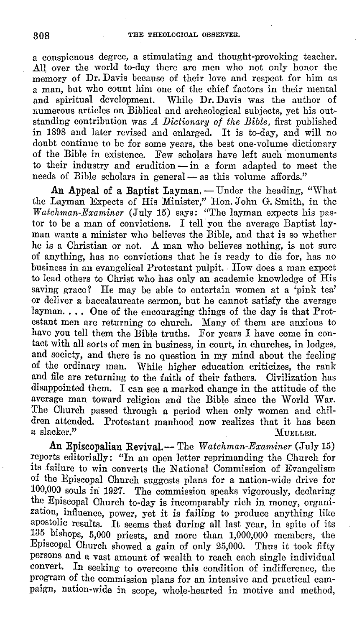a conspicuous degree, a stimulating and thought-provoking teacher. All over the world to-day there are men who not only honor the memory of Dr. Davis because of their love and respect for him as a man, but who count him one of the chief factors in their mental and spiritual development. While Dr. Davis was the author of numerous articles on Biblical and archeological subjects, yet his outstanding contribution was *A Dictionary of the Bible,* first published in 1898 and later revised and enlarged. It is to-day, and will no doubt continue to be for some years, the best one-volume dictionary of the Bible in existence. Few scholars have left such monuments to their industry and erudition  $-\text{in}$  a form adapted to meet the needs of Bible scholars in general — as this volume affords."

An Appeal of a Baptist Layman. - Under the heading, "What the Layman Expects of His Minister," Hon. John G. Smith, in the *Watchman-Examiner* (July 15) says: "The layman expects his pastor to be a man of convictions. I tell you the average Baptist layman wants a minister who believes the Bible, and that is so whether he is a Christian or not. A man who believes nothing, is not sure of anything, has no convictions that he is ready to die for, has no business in an evangelical Protestant pulpit. How does a man expect to lead others to Christ who has only an academic knowledge of His saving grace? He may be able to entertain women at a 'pink tea' or deliver a baccalaureate sermon, but he cannot satisfy the average layman.... One of the encouraging things of the day is that Protestant men are returning to church. Many of them are anxious to have you tell them the Bible truths. For years I have come in contact with all sorts of men in business, in court, in churches, in lodges, and society, and there is no question in my mind about the feeling of the ordinary man. While higher education criticizes, the rank and file are returning to the faith of their fathers. Civilization has disappointed them. I can see a marked change in the attitude of the average man toward religion and the Bible since the World War. The Church passed through a period when only women and children attended. Protestant manhood now realizes that it has been<br>a slacker." MUELLER. MUELLER.

**An** Episcopalian Revival.-The *Watchman-Examiner* (July 15) reports editorially: "In an open letter reprimanding the Church for its failure to win converts the National Commission of Evangelism of the Episcopal Church suggests plans for a nation-wide drive for 100,000 souls in: 1927. The commission speaks vigorously, declaring the Episcopal Church to-day is incomparably rich in money, organization, influence, power, yet it is failing to produce anything like apostolic results. It seems that during all last year, in spite of its 135 bishops, 5,000 priests, and more than 1,000,000 members, the Episcopal Church showed a gain of only 25,000. Thus it took fifty persons and a vast amount of wealth to reach each single individual convert. In seeking to overcome this condition of indifference, the program of the commission plans for an intensive and practical campaign, nation-wide in scope, whole-hearted in motive and method,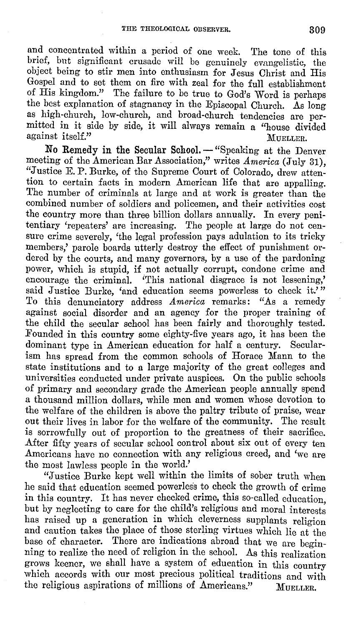and concentrated within a period of one week. The tone of this brief, but significant crusade will be genuinely evangelistic, the object being to stir men into enthusiasm for Jesus Christ and His Gospel and to set them on fire with zeal for the full establishment of His kingdom." The failure to be true to God's Word is perhaps the best explanation of stagnancy in the Episcopal Church. As long as high-church, low-church, and broad-church tendencies are permitted in it side by side, it will always remain a ''house divided against itself." MUELLER.

No Remedy in the Secular School. - "Speaking at the Denver meeting of the American Bar Association," writes *America* (July 31), "Justice E. P. Burke, of the Supreme Court of Colorado, drew attention to certain facts **in** modern American life that are appalling. The number of criminals at large and at work is greater than the combined number of soldiers and policemen, and their activities cost the country more than three billion dollars annually. In every penitentiary 'repeaters' are increasing. The people at large do not censure crime severely, 'the legal profession pays adulation to its tricky members,' parole boards utterly destroy the effect of punishment ordered by the courts, and many governors, by a use of the pardoning power, which is stupid, if not actually corrupt, condone crime and encourage the criminal. 'This national disgrace is not lessening,' said Justice Burke, 'and education seems powerless to check it.'" To this denunciatory address *America* remarks: "As a remedy against social disorder and an agency for the proper training of the child the secular school has been fairly and thoroughly tested. Founded in this country some eighty-five years ago, it has been the dominant type in American education for half a century. Secularism has spread from the common schools of Horace Mann to the state institutions and to a large majority of the great colleges and universities conducted under private auspices. On the public schools of primary and secondary grade the American people annually spend a thousand million dollars, while men and women whose devotion to the welfare of the children is above the paltry tribute of praise, wear out their lives in labor for the welfare of the community. The result is sorrowfully out of proportion to the greatness of their sacrifice. After fifty years of secular school control about six out of every ten Americans have no connection with any religious creed, and 'we are the most lawless people in the world.'

"Justice Burke kept well within the limits of sober truth when he said that education seemed powerless to check the growth of crime in this country. It has never checked crime, this so-called education but by neglecting to care for the child's religious and moral interests has raised up a generation in which cleverness supplants religion and caution takes the place of those sterling virtues which lie at the base of character. There are indications abroad that we are beginning to realize the need of religion in the school. As this realization grows keener, we shall have a system of education in this country which accords with our most precious political traditions and with the religious aspirations of millions of Americans." MUELLER.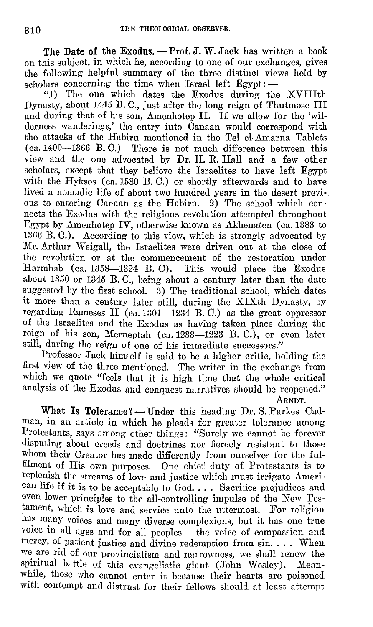The Date of the Exodus. - Prof. J. W. Jack has written a book on this subject, in which he, according to one of our exchanges, gives the following helpful summary of the three distinct views held by scholars concerning the time when Israel left  $E$ gypt:  $-$ 

"1) The one which dates the Exodus during the XVIIIth Dynasty, about 1445 B. C., just after the long reign of Thutmose III and during that of his son, Amenhotep II. If we allow for the 'wilderness wanderings,' the entry 'into Canaan would correspond with the attacks of the Habiru mentioned in the Tel el-Amarna Tablets (ca.1400-1366 B. C.) There is not much difference between this view and the one advocated by Dr. H. R. Hall and a few other scholars, except that they believe the Israelites to have left Egypt with the Hyksos (ca. 1580 B.C.) or shortly afterwards and to have lived a nomadic life of about two hundred years in the desert previous to entering Canaan as the Habiru. 2) The school which connects tho Exodus with the religious revolution attempted throughout Egypt by Amenhotep IV, otherwise known as Akhenaten ( ca. 1383 to 1366 B. 0.). According to this view, which is strongly advocated by Mr. Arthur Weigall, the Israelites were driven out at the close of the revolution or at the commencement of the restoration under Harmhab (ca. 1358-1324 B. C). This would place the Exodus about 1350 or 1345 B. 0., being about a century later than the date suggested by the first school.  $\tilde{3}$ ) The traditional school, which dates it more than a century later still, during the XIXth Dynasty, by regarding Rameses II (ca.  $1301-1234$  B. C.) as the great oppressor of the Israelites and the Exodus as having taken place during the reign of his son, Merneptah (ca. 1233-1223 B. C.), or even later still, during the reign of one of his immediate successors."

Professor Jack himself is said to be a higher critic, holding the first view of the three mentioned. The writer in the exchange from which we quote "feels that it is high time that the whole critical analysis of the Exodus and conquest narratives should be reopened."

ARNDT.

What Is Tolerance? — Under this heading Dr. S. Parkes Cadman, in an article in which he pleads for greater tolerance among Protestants, says among other things: "Surely we cannot be forever disputing about creeds and doctrines nor fiercely resistant to those whom their Creator has made differently from ourselves for the fulfilment of His own purposes. One chief duty of Protestants is to replenish the streams of love and justice which must irrigate American life if it is to be acceptable to God. . . . Sacrifice prejudices and even lower principles to the all-controlling impulse of the New Testament, which is love and service unto the uttermost. For religion has many voices and many diverse complexions, but it has one true voice in all ages and for all peoples - the voice of compassion and mercy, of patient justice and divine redemption from sin. . . . When we are rid of our provincialism and narrowness, wo shall renew the spiritual battle of this evangelistic giant (John Wesley). Meanwhile, those who cannot enter it because their hearts are poisoned with contempt and distrust for their fellows should at least attempt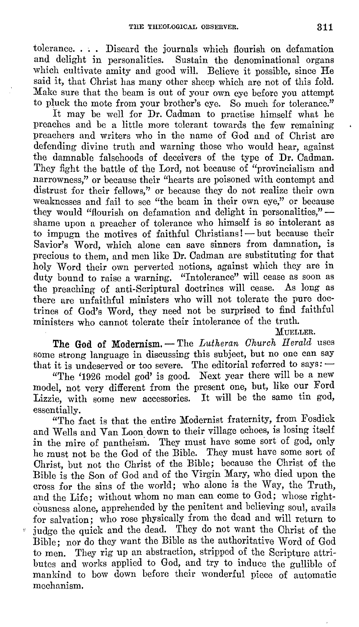tolerance.... Discard the journals which flourish on defamation and delight in personalities. Sustain the denominational organs which cultivate amity and good will. Believe it possible, since He said it, that Christ has many other sheep which are not of this fold. Make sure that the beam is out of your own eye before you attempt to pluck the mote from your brother's eye. So much for tolerance."

It may be well for Dr. Cadman to practise himself what he preaches and be a little more tolerant towards the few remaining preachers and writers who in the name of God and of Christ are defending divine truth and warning those who would hear, against the damnable falsehoods of deceivers of the type of Dr. Cadman. They fight the battle of the Lord, not because of "provincialism and narrowness," or because their "hearts are poisoned with contempt and distrust for their fellows," or because they do not realize their own weaknesses and fail to see "the beam in their own eye," or because they would "flourish on defamation and delight in personalities," -shame upon a preacher of tolerance who himself is so intolerant as to impugn the motives of faithful Christians! - but because their Savior's Word, which alone can save sinners from damnation, is precious to them, and men like Dr. Cadman are substituting for that holy Word their own perverted notions, against which they are in duty bound to raise a warning. "Intolerance" will cease as soon as the preaching of anti-Scriptural doctrines will cease. As long as there are unfaithful ministers who will not tolerate the pure doctrines of God's Word, they need not be surprised to find faithful ministers who cannot tolerate their intolerance of the truth.

MUELLER.

The God of Modernism. - The *Lutheran Church Herald* uses some strong language in discussing this subject, but no one can say that it is undeserved or too severe. The editorial referred to says:  $-$ 

"The '1926 model god' is good. Next year there will be a new model, not very different from the present one, but, like our Ford Lizzie, with some new accessories. It will be the same tin god, essentially.

"The fact is that the entire Modernist fraternity, from Fosdick and Wells and Van Loon down to their village echoes, is losing itself in the mire of pantheism. They must have some sort of god, only he must not be the God of the Bible. They must have some sort of Christ, but not tho Christ of the Bible; because the Christ of the Bible is the Son of God and of the Virgin Mary, who died upon the cross for the sins of the world; who alone is the Way, the Truth, and the Life; without whom no man can come to God; whose righteousness alone, apprehended by the penitent and believing soul, avails for salvation; who rose physically from the dead and will return to judge the quick and the dead. They do not want the Christ of the Bible; nor do they want the Bible as the authoritative Word of God to men. They rig up an abstraction, stripped of the Scripture attributes and works applied to God, and try to induce the gullible of mankind to bow down before their wonderful piece of automatic mechanism.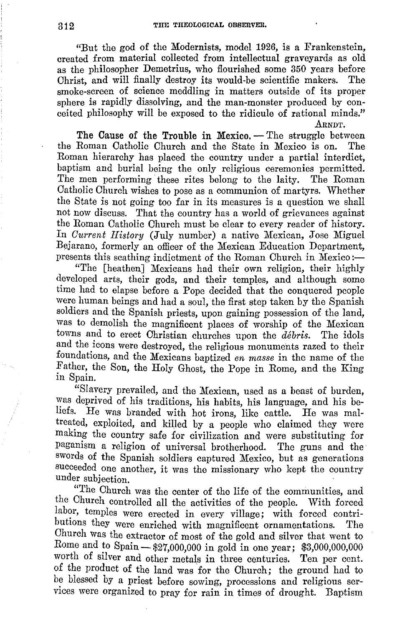"But the god of the Modernists, model 1926, is a Frankenstein, created from material collected from intellectual graveyards as old as the philosopher Demetrius, who flourished some 350 years before Christ, and will finally destroy its would-be scientific makers. The smoke-screen of science meddling in matters outside of its proper sphere is rapidly dissolving, and the man-monster produced by conceited philosophy will be exposed to the ridicule of rational minds." ARNDT.

**The Cause of the Trouble in Mexico.** — The struggle between Roman Catholic Church and the State in Mexico is on. The the Roman Catholic Church and the State in Mexico is on. Roman hierarchy has placed the country under a partial interdict, baptism and burial being the only religious ceremonies permitted. The men performing these rites belong to the laity. The Roman Catholic Church wishes to pose as a communion of martyrs. Whether the State is not going too far in its measures is a question we shall not now discuss. That the country has a world of grievances against the Roman Catholic Church must be clear to every reader of history. In *Current History* (July number) a native Mexican, Jose Miguel Bejarano, formerly an officer of the Mexican Education Department, presents this scathing indictment of the Roman Church in Mexico:-

"The [heathen] Mexicans had their own religion, their highly developed arts, their gods, and their temples, and although some time had to elapse before a Pope decided that the conquered people were human beings and had a soul, the first step taken by the Spanish soldiers and the Spanish priests, upon gaining possession of the land, was to demolish the magnificent places of worship of the Mexican towns and to erect Christian churches upon the *debris.* The idols and the icons were destroyed, the religious monuments razed to their foundations, and the Mexicans baptized *en masse* in the name of the Father, the Son, the Holy Ghost, the Pope in Rome, and the King in Spain.

"Slavery prevailed, and the Mexican, used as a beast of burden, was deprived of his traditions, his habits, his language, and his beliefs. He was branded with hot irons, like cattle. He was maltreated, exploited, and killed by a people who claimed they were making the country safe for civilization and were substituting for paganism a religion of universal brotherhood. The guns and the swords of the Spanish soldiers captured Mexico, but as generations succeeded one another, it was the missionary who kept the country under subjection.

"The Church was the center of the life of the communities, and the Church controlled all the activities of the people. With forced labor, temples were erected in every village; with forced contributions they were enriched with magnificent ornamentations. The Church was the extractor of most of the gold and silver that went to Rome and to Spain - \$27,000,000 in gold in one year; \$3,000,000,000 worth of silver and other metals in three centuries. Ten per cont. of the product of the land was for the Church; the ground had to be blessed by a priest before sowing, processions and religious services were organized to pray for rain in times of drought. Baptism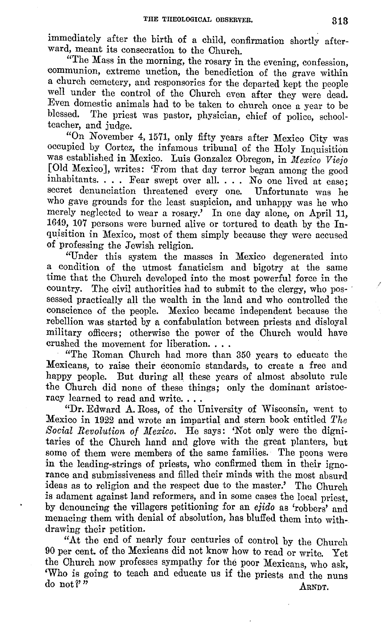immediately after the birth of a child, confirmation shortly afterward, meant its consecration to the Church.

"The Mass in the morning, the rosary in the evening, confession, communion, extreme unction, the benediction of the grave within a church cemetery, and responsories for the departed kept the people well under the control of the Church even after they were dead. Even domestic animals had to be taken to church once a year to be The priest was pastor, physician, chief of police, schoolteacher, and judge.

"On November 4, 1571, only fifty years after Mexico City was occupied by Cortez, the infamous tribunal of the Holy Inquisition was established in Mexico. Luis Gonzalez Obregon, in *Mexico Viejo* [Old Mexico], writes: 'From that day terror began among the good inhabitants.... Fear swept over all.... No one lived at ease: secret denunciation threatened every one. Unfortunate was he who gave grounds for the least suspicion, and unhappy was he who merely neglected to wear a rosary.' In one day alone, on April 11, 1649, 107 persons were burned alive or tortured to death by the Inquisition in Mexico, most of them simply because they were accused of professing the Jewish religion.

"Under this system the masses in Mexico degenerated into a condition of the utmost fanaticism and bigotry at the same time that the Church developed into the most powerful force in the country. The civil authorities had to submit to the clergy, who possessed practically all the wealth in the land and who controlled the conscience of the people. Mexico became independent because the rebellion was started by a confabulation between priests and disloyal military officers; otherwise the power of the Church would have crushed the movement for liberation. . . .

"The Roman Church had more than 350 years to educate the Mexicans, to raise their economic standards, to create a free and happy people. But during all these years of almost absolute rule the Church did none of these things; only the dominant aristocracy learned to read and write....

"Dr. Edward A. Ross, of the University of Wisconsin, went to Mexico in 1922 and wrote an impartial and stern book entitled *The*  Social Revolution of Mexico. He says: 'Not only were the dignitaries of the Church hand and glove with the great planters, but some of them were members of the same families. The peons were in the leading-strings of priests, who confirmed them in their ignorance and submissiveness and filled their minds with the most absurd ideas as to religion and the respect due to the master.' The Church is adament against land reformers, and in some cases the local priest, by denouncing the villagers petitioning for an *ejido* as 'robbers' and menacing them with denial of absolution, has bluffed them into withdrawing their petition.

"At the end of nearly four centuries of control by the Church 90 per cent. of the Mexicans did not know how to read or write. Yet the Church now professes sympathy for the poor Mexicans, who ask, 'Who is going to teach and educate us if the priests and the nuns do not?'" do not?" ARNDT.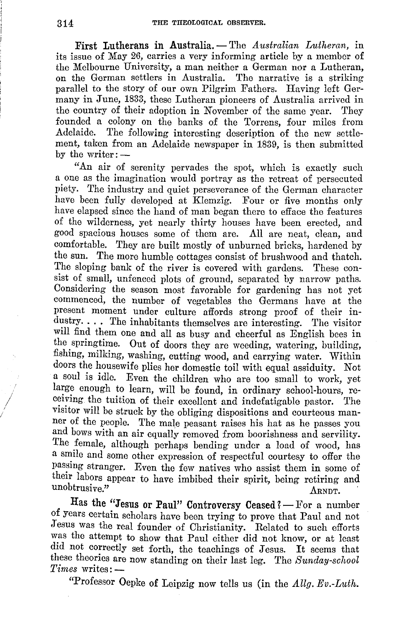**First Lutherans in Australia.** -The *Australian Lutheran*, in its issue of May 26, carries a very informing article by a member of the Melbourne University, a man neither a German nor a Lutheran, on the German settlers in Australia. The narrative is a striking parallel to the story of our own Pilgrim Fathers. Having left Germany in June, 1833, these Lutheran pioneers of Australia arrived in the country of their adoption in November of the same year. They founded a colony on the banks of the Torrens, four miles from Adelaide. The following interesting description of the new settlement, taken from an Adelaide newspaper in 1839, is then submitted by the writer:  $-$ 

"An air of serenity pervades the spot, which is exactly such a one as the imagination would portray as the retreat of persecuted piety. The industry and quiet perseverance of the German character have been fully developed at Klemzig. Four or five months only have elapsed since the hand of man began there to efface the features of the wilderness, yet nearly thirty houses have been erected, and good spacious houses some of them are. All are neat, clean, and comfortable. They are built mostly of unburned bricks, hardened by the sun. The more humble cottages consist of brushwood and thatch. The sloping bank of the river is covered with gardens. These consist of small, unfenced plots of ground, separated by narrow paths. Considering the season most favorable for gardening has not yet commenced, the number of vegetables the Germans have at the present moment under culture affords strong proof of their industry. . . . The inhabitants themselves are interesting. The visitor will find them one and all as busy and cheerful as English bees in the springtime. Out of doors they are weeding, watering, building, fishing, milking, washing, cutting wood, and carrying water. Within doors the housewife plies her domestic toil with equal assiduity. Not a soul is idle. Even the children who are too small to work, yet large enough to learn, will be found, in ordinary school-hours, receiving the tuition of their excellent and indefatigable pastor. The visitor will be struck by the obliging dispositions and courteous manner of the people. The male peasant raises his hat as he passes you and bows with an air equally removed from boorishness and servility. The female, although perhaps bending under a load of wood, has a smile and some other expression of respectful courtesy to offer the passing stranger. Even the few natives who assist them in some of their labors appear to have imbibed their spirit, being retiring and  $\frac{1}{\text{unobtrusive}}$ .  $\frac{1}{\text{Aran}}$ 

Has the "Jesus or Paul" Controversy Ceased ? - For a number of years certain scholars have been trying to prove that Paul and not Jesus was the real founder of Christianity. Related to such efforts was the attempt to show that Paul either did not know, or at least did not correctly set forth, the teachings of Jesus. It seems that these theories are now standing on their last leg. The *Sunday-school*   $Times \; writes: -$ 

"Professor Oepke of Leipzig now tells us (in the *Allg. Ev.-Luth.* 

*I I*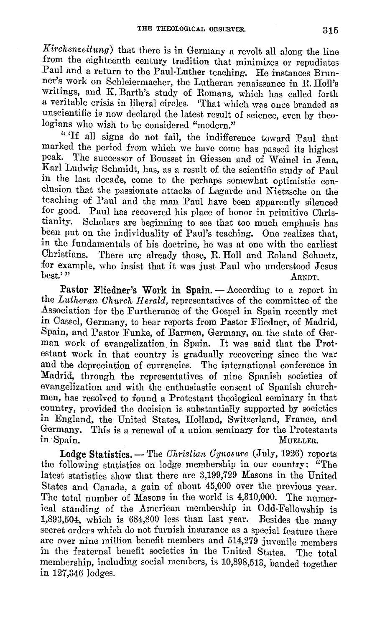*Kirchenzeitung*) that there is in Germany a revolt all along the line from the eighteenth century tradition that minimizes or repudiates Paul and a return to the Paul-Luther teaching. He instances Brunner's work on Schleiermacher, the Lutheran renaissance in R. Holl's writings, and K. Barth's study of Romans, which has called forth a veritable crisis in liberal circles. 'That which was once branded as unscientific is now declared the latest result of science, even by theologians who wish to be considered "modern."

" 'I£ all signs do not £ail, the indifference toward Paul that marked the period from which we have come has passed its highest peak. The successor of Bousset in Giessen and of Weinel in Jena. Karl Ludwig Schmidt, has, as a result of the scientific study of Paul in the last decade, come to the perhaps somewhat optimistic conclusion that the passionate attacks of Lagarde and Nietzsche on the teaching of Paul and the man Paul have been apparently silenced for good. Paul has recovered his place of honor in primitive Christianity. Scholars are beginning to see that too much emphasis has been put on the individuality of Paul's teaching. One realizes that, in the fundamentals of his doctrine, he was at one with the earliest<br>Christians. There are already those, R. Holl and Roland Schuetz. There are already those, R. Holl and Roland Schuetz, for example, who insist that it was just Paul who understood Jesus best." best.'" ARNDT.

Pastor Fliedner's Work in Spain. — According to a report in the *Lutheran Church II erald,* representatives of the committee of the Association for the Furtherance of the Gospel in Spain recently met in Cassel, Germany, to hear reports from Pastor Fliedner, of Madrid, Spain, and Pastor Funke, of Barmen, Germany, on the state of German work of evangelization in Spain. It was said that the Protestant work in that country is gradually recovering since the war and the depreciation of currencies. The international conference in Madrid, through the representatives of nine Spanish societies of evangelization and with the enthusiastic consent of Spanish churchmen, has resolved to found a Protestant theological seminary in that country, provided the decision is substantially supported by societies in England, the United States, Holland, Switzerland, France, and Germany. This is a renewal of a union seminary for the Protestants in Spain. MUELLER.

Lodge Statistics. - The *Christian Cynosure* (July, 1926) reports the following statistics on lodge membership in our country: "The latest statistics show that there are 3,199,729 Masons in the United States and Canada, a gain of about 45,000 over the previous year. The total number of Masons in the world is 4,310,000. The numerical standing of the American membership in Odd-Fellowship is 1,893,504, which is 684,800 less than last year. Besides the many secret orders which do not furnish insurance as a special feature there are over nine million benefit members and 514,279 juvenile members in the fraternal benefit societies in the United States. The total membership, including social members, is 10,898,513, banded together in 127,346 lodges.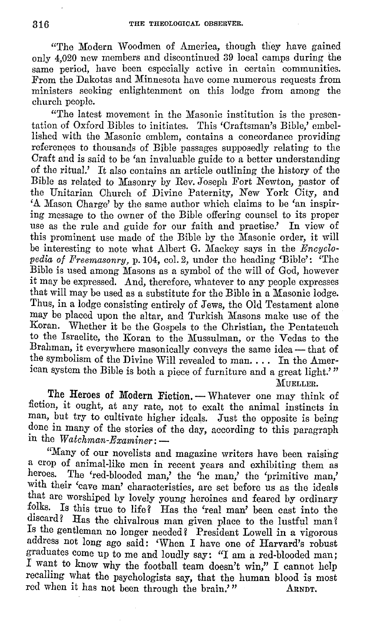"The Modern Woodmen of America, though they have gained only 4,020 new members and discontinued 39 local camps during the same period, have been especially active in certain communities. From the Dakotas and Minnesota have come numerous requests from ministers seeking enlightenment on this lodge from among the church people.

"The latest movement in the Masonic institution is the presentation of Oxford Bibles to initiates. This 'Craftsman's Bible,' embellished with the Masonic emblem, contains a concordance providing references to thousands of Bible passages supposedly relating to the Craft and is said to be 'an invaluable guide to a better understanding of the ritual.' It also contains an article outlining the history of the Bible as related to Masonry by Rev. Joseph Fort Newton, pastor of the Unitarian Church of Divine Paternity, New York City, and 'A Mason Charge' by the same author which claims to be 'an inspiring message to the owner of the Bible offering counsel to its proper use as the rule and guide for our faith and practise.' In view of this prominent use made of the Bible by the Masonic order, it will be interesting to note what Albert G. Mackey says in the *Encyclopedia of Freemasonry,* p. 104, col. 2, under the heading 'Bible': 'The Bible is used among Masons as a symbol of the will of God, however it may be expressed. And, therefore, whatever to any people expresses that will may be used as a substitute for the Bible in a Masonic lodge. Thus, in a lodge consisting entirely of Jews, the Old Testament alone may be placed upon the altar, and Turkish Masons make use of the Koran. Whether it be the Gospels to the Christian, the Pentateuch to the Israelite, the Koran to the Mussulman, or the Vedas to the Brahman, it everywhere masonically conveys the same idea - that of the symbolism of the Divine Will revealed to man. . . . In the American system the Bible is both a piece of furniture and a great light.'"

MUELLER.

The Heroes of Modern Fiction. - Whatever one may think of fiction, it ought, at any rate, not to exalt the animal instincts in man, but try to cultivate higher ideals. Just the opposite is being done in many of the stories of the day, according to this paragraph in the *Watchman-Examiner*: -

"Many of our novelists and magazine writers have been raising a crop of animal-like men in recent years and exhibiting them as heroes. The 'red-blooded man' the 'ne man' the 'neimitive man' The 'red-blooded man,' the 'he man,' the 'primitive man,' with their 'cave man' characteristics, are set before us as the ideals that are worshiped by lovely young heroines and feared by ordinary folks. Is this true to life? Has the 'real man' been cast into the discard? Has the chivalrous man given place to the lustful man? Is the gentleman no longer needed? President Lowell in a vigorous address not long ago said: 'When I have one of Harvard's robust graduates come up to me and loudly say: "I am a red-blooded man; I want to know why the football team doesn't win," I cannot help recalling what the psychologists say, that the human blood is most red when it has not been through the brain." ARNDT.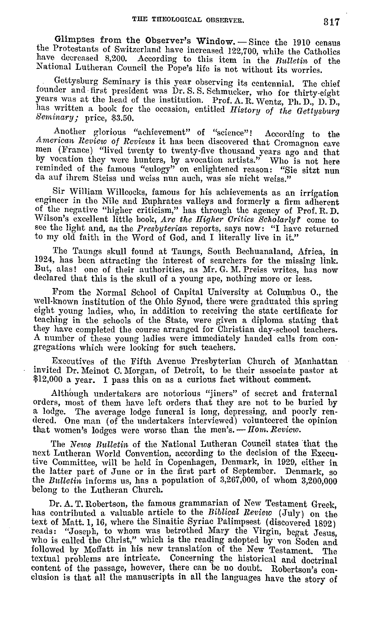Glimpses from the Observer's Window. - Since the 1910 census the Protestants of Switzerland have increased 122,700, while the Catholics have decreased 8,200. According to this item in the *Bulletin* of the National Lutheran Council the Pope's life is not without its worries.

Gettysburg Seminary is this year observing its centennial. The chief founder and first president was Dr. S. S. Schmucker, who for thirty-eight years was at the head of the institution. Prof. A. R. Wentz, Ph. D., D. D., has wntten a book for the occasion, entitled *History of the Gettysburg Seminary;* price, \$3.50.

Another glorious "achievement" of "science"! According to the *American Review of Reviews* it has been discovered that Cromagnon cave men (France) "lived twenty to twenty-five thousand years ago and that by vocation they were hunters, by avocation artists." Who is not here reminded of the famous "eulogy" on enlightened reason: "Sie sitzt nun da auf ihrem Steiss und weiss nun auch, was sie nicht weiss."

Sir William Willcocks, famous for his achievements as an irrigation engineer in the Nile and Euphrates valleys and formerly a firm adherent of the negative "higher criticism," has through the agency of Prof. R. D. -Wilson's excellent little book, *Are the Higher Oritios Scholarly Y* come to see the light and, as the *Presbyterian* reports, says now: "I have returned to my old faith in the Word of God, and I literally live in it."

The Taungs skull found at Taungs, South Bechuanaland, Africa, in 1924, has been attracting the interest of searchers for the missing link. But, alas! one of their authorities, as Mr. G. M. Preiss writes, has now declared that this is the skull of a young ape, nothing more or less.

From the Normal School of Capital University at Colmnbus 0., the well-known institution of the Ohio Synod, there were graduated this spring eight young ladies, who, in addition to receiving the state certificate for teaching in the schools of the State, were given a diploma stating that they have completed the course arranged for Christian day-school teachers. A number of these young ladies were immediately handed calls from con• gregations which were looking for such teachers.

Executives of the Fifth Avenue Presbyterian Church of Manhattan invited Dr. Meinot C. Morgan, of Detroit, to be their associate pastor at \$12,000 a year. I pass this on as a curious fact without comment.

Although undertakers are notorious "jiners" of secret and fraternal orders, most of them have left orders that they are not to be buried by a lodge. The average lodge funeral is long, depressing, and poorly rendered. One man (of the undertakers interviewed) volunteered the opinion that women's lodges were worse than the men's. - *Hom. Review*.

The *News Bulletin* of the National Lutheran Council states that the next Lutheran World Convention, according to the decision of the Executive Committee, will be held in Copenhagen, Denmark, in 1929, either **in**  the latter part of June or **in** the first part of September. Denmark, so the *Bnlletin* informs us, has a population of 3,267,000, of whom 3,200,000 belong to the Lutheran Church.

Dr. A. T. Robertson, the famous grammarian of New Testament Greek, has contributed a valuable article to the *Biblical Review* (July) on the text of Matt. 1, 16, where the Sinaitic Syriac Palimpsest (discovered 1892) reads: "Joseph, to whom was betrothed Mary the Virgin, begat Jesus, who is called the Christ," which is the reading adopted by von  $S_{\text{oden and}}$ followed by Moffatt in his new translation of the New Testament. The textual problems arc intricate. Concerning the historical and doctrinal content of the passage, however, there can be no doubt. Robertson's conclusion is that all the manuscripts in all the languages have the story of